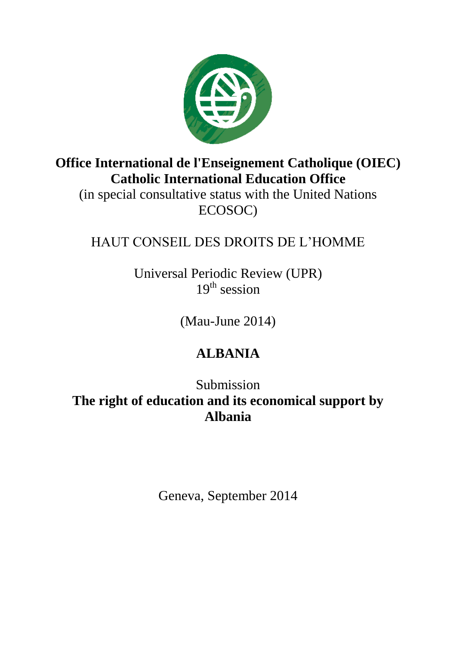

**Office International de l'Enseignement Catholique (OIEC) Catholic International Education Office**

(in special consultative status with the United Nations ECOSOC)

## HAUT CONSEIL DES DROITS DE L'HOMME

Universal Periodic Review (UPR)  $19<sup>th</sup>$  session

(Mau-June 2014)

## **ALBANIA**

Submission

**The right of education and its economical support by Albania**

Geneva, September 2014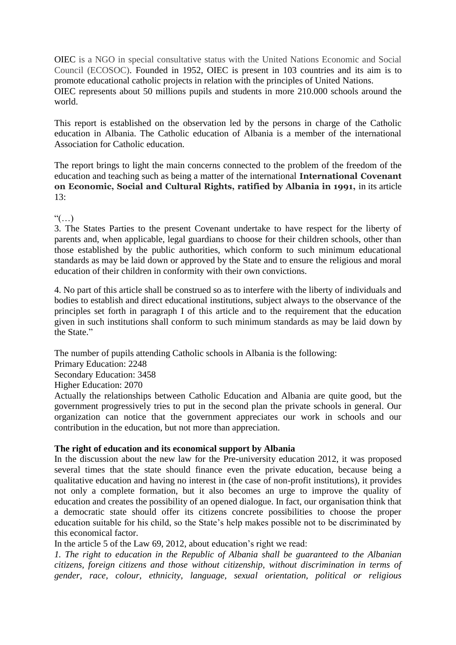OIEC is a NGO in special consultative status with the United Nations Economic and Social Council (ECOSOC). Founded in 1952, OIEC is present in 103 countries and its aim is to promote educational catholic projects in relation with the principles of United Nations. OIEC represents about 50 millions pupils and students in more 210.000 schools around the world.

This report is established on the observation led by the persons in charge of the Catholic education in Albania. The Catholic education of Albania is a member of the international Association for Catholic education.

The report brings to light the main concerns connected to the problem of the freedom of the education and teaching such as being a matter of the international **International Covenant on Economic, Social and Cultural Rights, ratified by Albania in 1991,** in its article 13:

 $\lq\lq\lq\lq\lq\lq\lq\lq\lq$ 

3. The States Parties to the present Covenant undertake to have respect for the liberty of parents and, when applicable, legal guardians to choose for their children schools, other than those established by the public authorities, which conform to such minimum educational standards as may be laid down or approved by the State and to ensure the religious and moral education of their children in conformity with their own convictions.

4. No part of this article shall be construed so as to interfere with the liberty of individuals and bodies to establish and direct educational institutions, subject always to the observance of the principles set forth in paragraph I of this article and to the requirement that the education given in such institutions shall conform to such minimum standards as may be laid down by the State."

The number of pupils attending Catholic schools in Albania is the following:

Primary Education: 2248

Secondary Education: 3458

Higher Education: 2070

Actually the relationships between Catholic Education and Albania are quite good, but the government progressively tries to put in the second plan the private schools in general. Our organization can notice that the government appreciates our work in schools and our contribution in the education, but not more than appreciation.

## **The right of education and its economical support by Albania**

In the discussion about the new law for the Pre-university education 2012, it was proposed several times that the state should finance even the private education, because being a qualitative education and having no interest in (the case of non-profit institutions), it provides not only a complete formation, but it also becomes an urge to improve the quality of education and creates the possibility of an opened dialogue. In fact, our organisation think that a democratic state should offer its citizens concrete possibilities to choose the proper education suitable for his child, so the State's help makes possible not to be discriminated by this economical factor.

In the article 5 of the Law 69, 2012, about education's right we read:

*1. The right to education in the Republic of Albania shall be guaranteed to the Albanian citizens, foreign citizens and those without citizenship, without discrimination in terms of gender, race, colour, ethnicity, language, sexual orientation, political or religious*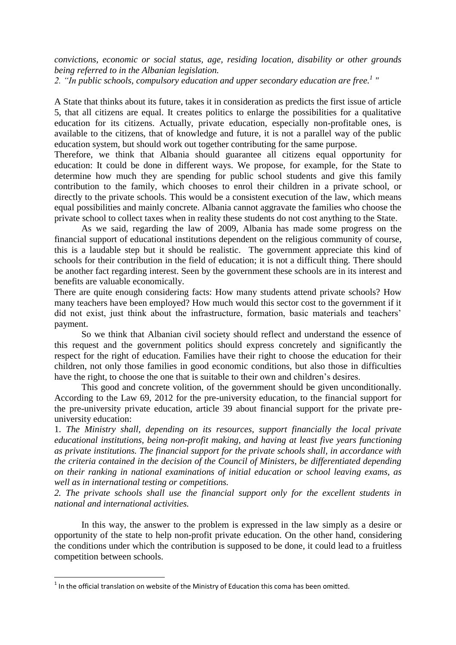*convictions, economic or social status, age, residing location, disability or other grounds being referred to in the Albanian legislation.*

*2. "In public schools, compulsory education and upper secondary education are free. 1 "*

A State that thinks about its future, takes it in consideration as predicts the first issue of article 5, that all citizens are equal. It creates politics to enlarge the possibilities for a qualitative education for its citizens. Actually, private education, especially non-profitable ones, is available to the citizens, that of knowledge and future, it is not a parallel way of the public education system, but should work out together contributing for the same purpose.

Therefore, we think that Albania should guarantee all citizens equal opportunity for education: It could be done in different ways. We propose, for example, for the State to determine how much they are spending for public school students and give this family contribution to the family, which chooses to enrol their children in a private school, or directly to the private schools. This would be a consistent execution of the law, which means equal possibilities and mainly concrete. Albania cannot aggravate the families who choose the private school to collect taxes when in reality these students do not cost anything to the State.

As we said, regarding the law of 2009, Albania has made some progress on the financial support of educational institutions dependent on the religious community of course, this is a laudable step but it should be realistic. The government appreciate this kind of schools for their contribution in the field of education; it is not a difficult thing. There should be another fact regarding interest. Seen by the government these schools are in its interest and benefits are valuable economically.

There are quite enough considering facts: How many students attend private schools? How many teachers have been employed? How much would this sector cost to the government if it did not exist, just think about the infrastructure, formation, basic materials and teachers' payment.

So we think that Albanian civil society should reflect and understand the essence of this request and the government politics should express concretely and significantly the respect for the right of education. Families have their right to choose the education for their children, not only those families in good economic conditions, but also those in difficulties have the right, to choose the one that is suitable to their own and children's desires.

This good and concrete volition, of the government should be given unconditionally. According to the Law 69, 2012 for the pre-university education, to the financial support for the pre-university private education, article 39 about financial support for the private preuniversity education:

1. *The Ministry shall, depending on its resources, support financially the local private educational institutions, being non-profit making, and having at least five years functioning as private institutions. The financial support for the private schools shall, in accordance with the criteria contained in the decision of the Council of Ministers, be differentiated depending on their ranking in national examinations of initial education or school leaving exams, as well as in international testing or competitions.*

*2. The private schools shall use the financial support only for the excellent students in national and international activities.*

In this way, the answer to the problem is expressed in the law simply as a desire or opportunity of the state to help non-profit private education. On the other hand, considering the conditions under which the contribution is supposed to be done, it could lead to a fruitless competition between schools.

**The set of the official translation on website of the Ministry of Education this coma has been omitted.**<br><sup>1</sup> In the official translation on website of the Ministry of Education this coma has been omitted.